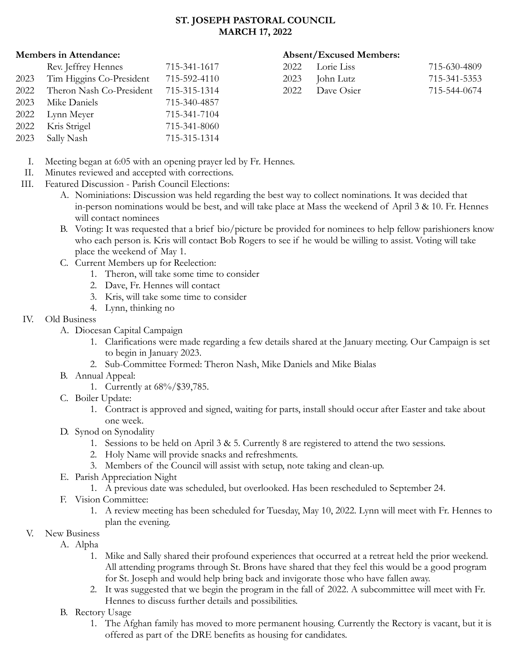#### **ST. JOSEPH PASTORAL COUNCIL MARCH 17, 2022**

#### **Members in Attendance: Absent/Excused Members:**

| 2022 Lorie Liss | 715-630-4809 |
|-----------------|--------------|
| 2023 John Lutz  | 715-341-5353 |
| 2022 Dave Osier | 715-544-0674 |

- Rev. Jeffrey Hennes 715-341-1617 2023 Tim Higgins Co-President 715-592-4110 2022 Theron Nash Co-President 715-315-1314 2023 Mike Daniels 715-340-4857 2022 Lynn Meyer 715-341-7104 2022 Kris Strigel 715-341-8060 2023 Sally Nash 715-315-1314
	- I. Meeting began at 6:05 with an opening prayer led by Fr. Hennes.
	- II. Minutes reviewed and accepted with corrections.
- III. Featured Discussion Parish Council Elections:
	- A. Nominiations: Discussion was held regarding the best way to collect nominations. It was decided that in-person nominations would be best, and will take place at Mass the weekend of April 3 & 10. Fr. Hennes will contact nominees
	- B. Voting: It was requested that a brief bio/picture be provided for nominees to help fellow parishioners know who each person is. Kris will contact Bob Rogers to see if he would be willing to assist. Voting will take place the weekend of May 1.
	- C. Current Members up for Reelection:
		- 1. Theron, will take some time to consider
		- 2. Dave, Fr. Hennes will contact
		- 3. Kris, will take some time to consider
		- 4. Lynn, thinking no

### IV. Old Business

- A. Diocesan Capital Campaign
	- 1. Clarifications were made regarding a few details shared at the January meeting. Our Campaign is set to begin in January 2023.
	- 2. Sub-Committee Formed: Theron Nash, Mike Daniels and Mike Bialas
- B. Annual Appeal:
	- 1. Currently at 68%/\$39,785.
- C. Boiler Update:
	- 1. Contract is approved and signed, waiting for parts, install should occur after Easter and take about one week.
- D. Synod on Synodality
	- 1. Sessions to be held on April 3 & 5. Currently 8 are registered to attend the two sessions.
	- 2. Holy Name will provide snacks and refreshments.
	- 3. Members of the Council will assist with setup, note taking and clean-up.
- E. Parish Appreciation Night
	- 1. A previous date was scheduled, but overlooked. Has been rescheduled to September 24.
- F. Vision Committee:
	- 1. A review meeting has been scheduled for Tuesday, May 10, 2022. Lynn will meet with Fr. Hennes to plan the evening.
- V. New Business
	- A. Alpha
		- 1. Mike and Sally shared their profound experiences that occurred at a retreat held the prior weekend. All attending programs through St. Brons have shared that they feel this would be a good program for St. Joseph and would help bring back and invigorate those who have fallen away.
		- 2. It was suggested that we begin the program in the fall of 2022. A subcommittee will meet with Fr. Hennes to discuss further details and possibilities.
	- B. Rectory Usage
		- 1. The Afghan family has moved to more permanent housing. Currently the Rectory is vacant, but it is offered as part of the DRE benefits as housing for candidates.